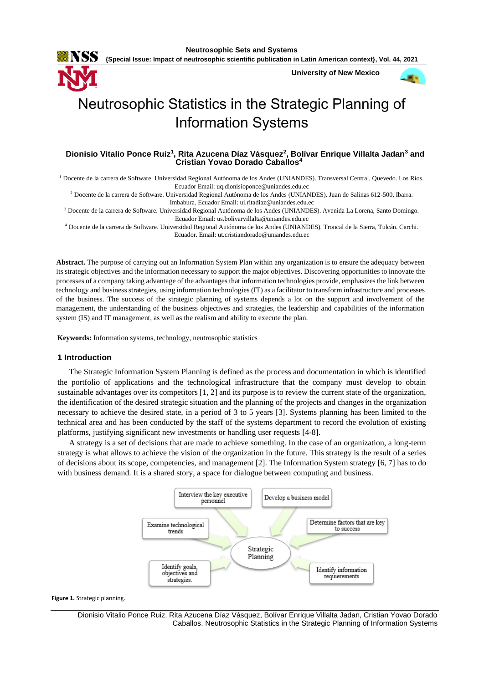

**{Special Issue: Impact of neutrosophic scientific publication in Latin American context}, Vol. 44, 2021**

**University of New Mexico**



# Neutrosophic Statistics in the Strategic Planning of Information Systems

# **Dionisio Vitalio Ponce Ruiz<sup>1</sup> , Rita Azucena Díaz Vásquez<sup>2</sup> , Bolívar Enrique Villalta Jadan<sup>3</sup> and Cristian Yovao Dorado Caballos<sup>4</sup>**

<sup>1</sup> Docente de la carrera de Software. Universidad Regional Autónoma de los Andes (UNIANDES). Transversal Central, Quevedo. Los Ríos. Ecuador Email: [uq.dionisioponce@uniandes.edu.ec](mailto:uq.dionisioponce@uniandes.edu.ec)

<sup>2</sup> Docente de la carrera de Software. Universidad Regional Autónoma de los Andes (UNIANDES). Juan de Salinas 612-500, Ibarra. Imbabura. Ecuador Email[: ui.ritadiaz@uniandes.edu.ec](mailto:ui.ritadiaz@uniandes.edu.ec)

<sup>3</sup> Docente de la carrera de Software. Universidad Regional Autónoma de los Andes (UNIANDES). Avenida La Lorena, Santo Domingo. Ecuador Email[: us.bolivarvillalta@uniandes.edu.ec](mailto:us.bolivarvillalta@uniandes.edu.ec)

<sup>4</sup> Docente de la carrera de Software. Universidad Regional Autónoma de los Andes (UNIANDES). Troncal de la Sierra, Tulcán. Carchi. Ecuador. Email[: ut.cristiandorado@uniandes.edu.ec](mailto:ut.cristiandorado@uniandes.edu.ec)

**Abstract.** The purpose of carrying out an Information System Plan within any organization is to ensure the adequacy between its strategic objectives and the information necessary to support the major objectives. Discovering opportunities to innovate the processes of a company taking advantage of the advantages that information technologies provide, emphasizes the link between technology and business strategies, using information technologies (IT) as a facilitator to transform infrastructure and processes of the business. The success of the strategic planning of systems depends a lot on the support and involvement of the management, the understanding of the business objectives and strategies, the leadership and capabilities of the information system (IS) and IT management, as well as the realism and ability to execute the plan.

**Keywords:** Information systems, technology, neutrosophic statistics

### **1 Introduction**

The Strategic Information System Planning is defined as the process and documentation in which is identified the portfolio of applications and the technological infrastructure that the company must develop to obtain sustainable advantages over its competitors [\[1,](#page-6-0) [2\]](#page-6-1) and its purpose is to review the current state of the organization, the identification of the desired strategic situation and the planning of the projects and changes in the organization necessary to achieve the desired state, in a period of 3 to 5 years [\[3\]](#page-6-2). Systems planning has been limited to the technical area and has been conducted by the staff of the systems department to record the evolution of existing platforms, justifying significant new investments or handling user requests [\[4-8\]](#page-6-3).

A strategy is a set of decisions that are made to achieve something. In the case of an organization, a long-term strategy is what allows to achieve the vision of the organization in the future. This strategy is the result of a series of decisions about its scope, competencies, and management [\[2\]](#page-6-1). The Information System strategy [\[6,](#page-6-4) [7\]](#page-6-5) has to do with business demand. It is a shared story, a space for dialogue between computing and business.



**Figure 1.** Strategic planning.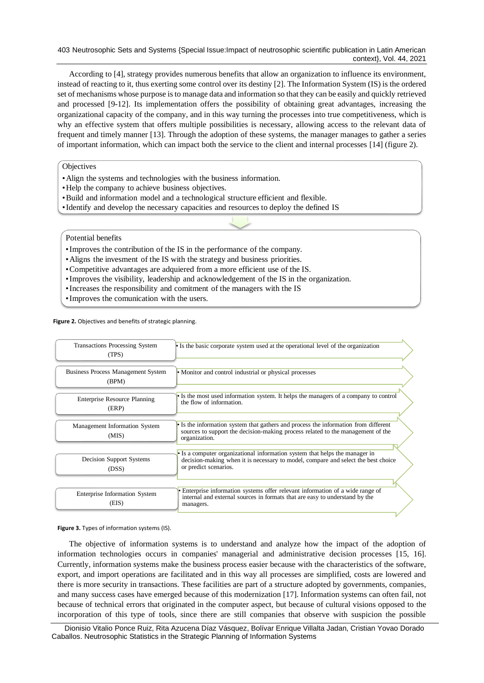403 Neutrosophic Sets and Systems {Special Issue:Impact of neutrosophic scientific publication in Latin American context}, Vol. 44, 2021

According to [\[4\]](#page-6-3), strategy provides numerous benefits that allow an organization to influence its environment, instead of reacting to it, thus exerting some control over its destiny [\[2\]](#page-6-1). The Information System (IS) is the ordered set of mechanisms whose purpose is to manage data and information so that they can be easily and quickly retrieved and processed [\[9-12\]](#page-6-6). Its implementation offers the possibility of obtaining great advantages, increasing the organizational capacity of the company, and in this way turning the processes into true competitiveness, which is why an effective system that offers multiple possibilities is necessary, allowing access to the relevant data of frequent and timely manner [\[13\]](#page-6-7). Through the adoption of these systems, the manager manages to gather a series of important information, which can impact both the service to the client and internal processes [\[14\]](#page-6-8) (figure 2).

**Objectives** 

- •Align the systems and technologies with the business information.
- •Help the company to achieve business objectives.
- •Build and information model and a technological structure efficient and flexible.
- •Identify and develop the necessary capacities and resources to deploy the defined IS

### Potential benefits

- •Improves the contribution of the IS in the performance of the company.
- •Aligns the invesment of the IS with the strategy and business priorities.
- •Competitive advantages are adquiered from a more efficient use of the IS.
- •Improves the visibility, leadership and acknowledgement of the IS in the organization.
- •Increases the responsibility and comitment of the managers with the IS
- •Improves the comunication with the users.

**Figure 2.** Objectives and benefits of strategic planning.

| <b>Transactions Processing System</b><br>(TPS)     | • Is the basic corporate system used at the operational level of the organization                                                                                                         |
|----------------------------------------------------|-------------------------------------------------------------------------------------------------------------------------------------------------------------------------------------------|
| <b>Business Process Management System</b><br>(BPM) | • Monitor and control industrial or physical processes                                                                                                                                    |
| <b>Enterprise Resource Planning</b><br>(ERP)       | • Is the most used information system. It helps the managers of a company to control<br>the flow of information.                                                                          |
| Management Information System<br>(MIS)             | • Is the information system that gathers and process the information from different<br>sources to support the decision-making process related to the management of the<br>organization.   |
| Decision Support Systems<br>(DSS)                  | • Is a computer organizational information system that helps the manager in<br>decision-making when it is necessary to model, compare and select the best choice<br>or predict scenarios. |
| <b>Enterprise Information System</b><br>(EIS)      | Enterprise information systems offer relevant information of a wide range of<br>internal and external sources in formats that are easy to understand by the<br>managers.                  |

#### **Figure 3.** Types of information systems (IS).

The objective of information systems is to understand and analyze how the impact of the adoption of information technologies occurs in companies' managerial and administrative decision processes [\[15,](#page-6-9) [16\]](#page-6-10). Currently, information systems make the business process easier because with the characteristics of the software, export, and import operations are facilitated and in this way all processes are simplified, costs are lowered and there is more security in transactions. These facilities are part of a structure adopted by governments, companies, and many success cases have emerged because of this modernization [\[17\]](#page-7-0). Information systems can often fail, not because of technical errors that originated in the computer aspect, but because of cultural visions opposed to the incorporation of this type of tools, since there are still companies that observe with suspicion the possible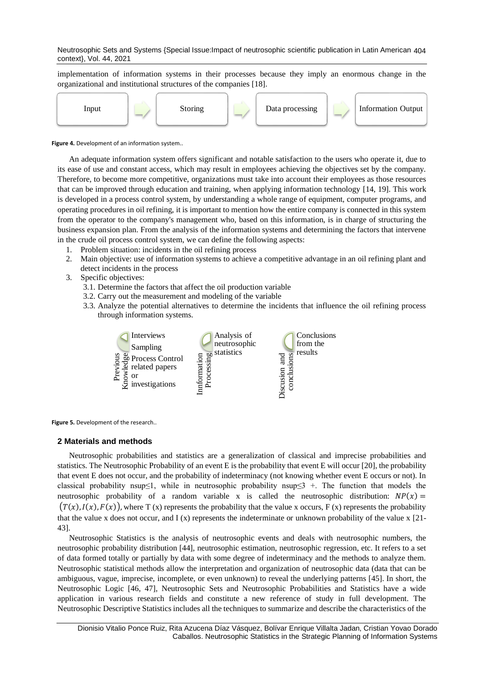Neutrosophic Sets and Systems {Special Issue:Impact of neutrosophic scientific publication in Latin American 404 context}, Vol. 44, 2021

implementation of information systems in their processes because they imply an enormous change in the organizational and institutional structures of the companies [\[18\]](#page-7-1).



**Figure 4.** Development of an information system..

An adequate information system offers significant and notable satisfaction to the users who operate it, due to its ease of use and constant access, which may result in employees achieving the objectives set by the company. Therefore, to become more competitive, organizations must take into account their employees as those resources that can be improved through education and training, when applying information technology [\[14,](#page-6-8) [19\]](#page-7-2). This work is developed in a process control system, by understanding a whole range of equipment, computer programs, and operating procedures in oil refining, it is important to mention how the entire company is connected in this system from the operator to the company's management who, based on this information, is in charge of structuring the business expansion plan. From the analysis of the information systems and determining the factors that intervene in the crude oil process control system, we can define the following aspects:

- 1. Problem situation: incidents in the oil refining process
- 2. Main objective: use of information systems to achieve a competitive advantage in an oil refining plant and detect incidents in the process
- 3. Specific objectives:
	- 3.1. Determine the factors that affect the oil production variable
	- 3.2. Carry out the measurement and modeling of the variable
	- 3.3. Analyze the potential alternatives to determine the incidents that influence the oil refining process through information systems.



**Figure 5.** Development of the research..

### **2 Materials and methods**

Neutrosophic probabilities and statistics are a generalization of classical and imprecise probabilities and statistics. The Neutrosophic Probability of an event E is the probability that event E will occur [\[20\]](#page-7-3), the probability that event E does not occur, and the probability of indeterminacy (not knowing whether event E occurs or not). In classical probability nsup≤1, while in neutrosophic probability nsup≤3 +. The function that models the neutrosophic probability of a random variable x is called the neutrosophic distribution:  $NP(x) =$  $(T(x),I(x),F(x))$ , where T (x) represents the probability that the value x occurs, F (x) represents the probability that the value x does not occur, and  $I(x)$  represents the indeterminate or unknown probability of the value x  $[21-$ [43\]](#page-7-4).

Neutrosophic Statistics is the analysis of neutrosophic events and deals with neutrosophic numbers, the neutrosophic probability distribution [\[44\]](#page-8-0), neutrosophic estimation, neutrosophic regression, etc. It refers to a set of data formed totally or partially by data with some degree of indeterminacy and the methods to analyze them. Neutrosophic statistical methods allow the interpretation and organization of neutrosophic data (data that can be ambiguous, vague, imprecise, incomplete, or even unknown) to reveal the underlying patterns [\[45\]](#page-8-1). In short, the Neutrosophic Logic [\[46,](#page-8-2) [47\]](#page-8-3), Neutrosophic Sets and Neutrosophic Probabilities and Statistics have a wide application in various research fields and constitute a new reference of study in full development. The Neutrosophic Descriptive Statistics includes all the techniques to summarize and describe the characteristics of the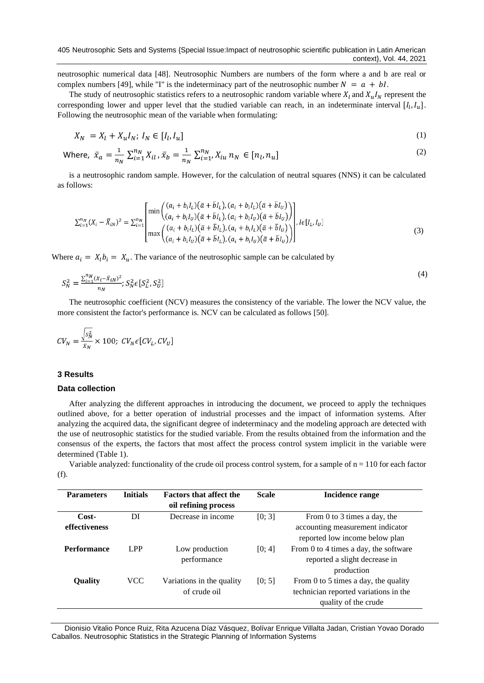neutrosophic numerical data [\[48\]](#page-8-4). Neutrosophic Numbers are numbers of the form where a and b are real or complex numbers [\[49\]](#page-8-5), while "I" is the indeterminacy part of the neutrosophic number  $N = a + bl$ .

The study of neutrosophic statistics refers to a neutrosophic random variable where  $X_l$  and  $X_u I_N$  represent the corresponding lower and upper level that the studied variable can reach, in an indeterminate interval  $[I_l, I_u]$ . Following the neutrosophic mean of the variable when formulating:

$$
X_N = X_l + X_u I_N; I_N \in [I_l, I_u]
$$
\n<sup>(1)</sup>

Where, 
$$
\bar{x}_a = \frac{1}{n_N} \sum_{i=1}^{n_N} X_{il}, \bar{x}_b = \frac{1}{n_N} \sum_{i=1}^{n_N} X_{iu} n_N \in [n_l, n_u]
$$
 (2)

is a neutrosophic random sample. However, for the calculation of neutral squares (NNS) it can be calculated as follows:

$$
\sum_{i=1}^{n_N} (X_i - \bar{X}_{iN})^2 = \sum_{i=1}^{n_N} \left[ \frac{\min\left( (a_i + b_i I_L)(\bar{a} + \bar{b} I_L), (a_i + b_i I_L)(\bar{a} + \bar{b} I_U) \right)}{(a_i + b_i I_U)(\bar{a} + \bar{b} I_L), (a_i + b_i I_U)(\bar{a} + \bar{b} I_U)} \right], I \in [I_L, I_U]
$$
\n
$$
\max\left( \frac{(a_i + b_i I_L)(\bar{a} + \bar{b} I_L), (a_i + b_i I_L)(\bar{a} + \bar{b} I_U)}{(a_i + b_i I_U)(\bar{a} + \bar{b} I_L), (a_i + b_i I_U)(\bar{a} + \bar{b} I_U)} \right), I \in [I_L, I_U]
$$
\n(3)

Where  $a_i = X_i b_i = X_u$ . The variance of the neutrosophic sample can be calculated by

$$
S_N^2 = \frac{\sum_{i=1}^{n_N} (x_i - \bar{x}_{iN})^2}{n_N}; S_N^2 \in [S_L^2, S_U^2]
$$
\n(4)

The neutrosophic coefficient (NCV) measures the consistency of the variable. The lower the NCV value, the more consistent the factor's performance is. NCV can be calculated as follows [\[50\]](#page-8-6).

$$
CV_N = \frac{\sqrt{s_N^2}}{\bar{x}_N} \times 100; CV_N \in [CV_L, CV_U]
$$

## **3 Results**

#### **Data collection**

After analyzing the different approaches in introducing the document, we proceed to apply the techniques outlined above, for a better operation of industrial processes and the impact of information systems. After analyzing the acquired data, the significant degree of indeterminacy and the modeling approach are detected with the use of neutrosophic statistics for the studied variable. From the results obtained from the information and the consensus of the experts, the factors that most affect the process control system implicit in the variable were determined (Table 1).

Variable analyzed: functionality of the crude oil process control system, for a sample of  $n = 110$  for each factor (f).

| <b>Parameters</b>      | <b>Initials</b> | <b>Factors that affect the</b><br>oil refining process | <b>Scale</b> | <b>Incidence range</b>                                                                                |
|------------------------|-----------------|--------------------------------------------------------|--------------|-------------------------------------------------------------------------------------------------------|
| Cost-<br>effectiveness | DI              | Decrease in income                                     | [0; 3]       | From 0 to 3 times a day, the<br>accounting measurement indicator<br>reported low income below plan    |
| <b>Performance</b>     | LPP             | Low production<br>performance                          | [0; 4]       | From 0 to 4 times a day, the software<br>reported a slight decrease in<br>production                  |
| <b>Quality</b>         | <b>VCC</b>      | Variations in the quality<br>of crude oil              | [0; 5]       | From 0 to 5 times a day, the quality<br>technician reported variations in the<br>quality of the crude |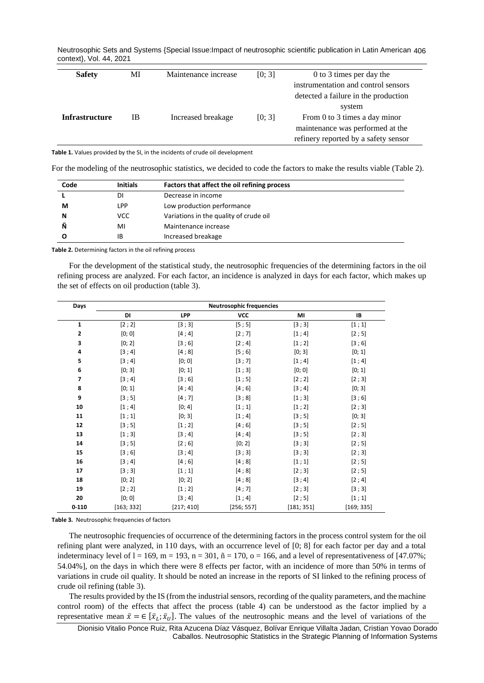Neutrosophic Sets and Systems {Special Issue:Impact of neutrosophic scientific publication in Latin American 406 context}, Vol. 44, 2021

| <b>Safety</b>         | MI  | Maintenance increase | [0; 3] | 0 to 3 times per day the             |
|-----------------------|-----|----------------------|--------|--------------------------------------|
|                       |     |                      |        | instrumentation and control sensors  |
|                       |     |                      |        | detected a failure in the production |
|                       |     |                      |        | system                               |
| <b>Infrastructure</b> | IB. | Increased breakage   | [0; 3] | From 0 to 3 times a day minor        |
|                       |     |                      |        | maintenance was performed at the     |
|                       |     |                      |        | refinery reported by a safety sensor |

**Table 1.** Values provided by the SI, in the incidents of crude oil development

For the modeling of the neutrosophic statistics, we decided to code the factors to make the results viable (Table 2).

| Code | <b>Initials</b> | Factors that affect the oil refining process |
|------|-----------------|----------------------------------------------|
|      | DΙ              | Decrease in income                           |
| м    | LPP             | Low production performance                   |
| N    | VCC             | Variations in the quality of crude oil       |
| Ñ    | MI              | Maintenance increase                         |
| O    | ΙB              | Increased breakage                           |

**Table 2.** Determining factors in the oil refining process

For the development of the statistical study, the neutrosophic frequencies of the determining factors in the oil refining process are analyzed. For each factor, an incidence is analyzed in days for each factor, which makes up the set of effects on oil production (table 3).

| Days           | <b>Neutrosophic frequencies</b> |            |            |            |            |
|----------------|---------------------------------|------------|------------|------------|------------|
|                | DI                              | LPP        | <b>VCC</b> | MI         | <b>IB</b>  |
| $\mathbf{1}$   | [2; 2]                          | [3;3]      | [5;5]      | [3;3]      | [1;1]      |
| 2              | [0; 0]                          | [4; 4]     | [2;7]      | [1; 4]     | [2;5]      |
| 3              | [0; 2]                          | [3;6]      | [2; 4]     | [1; 2]     | [3;6]      |
| 4              | [3; 4]                          | [4;8]      | [5;6]      | [0; 3]     | [0; 1]     |
| 5              | [3; 4]                          | [0; 0]     | [3;7]      | [1; 4]     | [1; 4]     |
| 6              | [0; 3]                          | [0; 1]     | [1;3]      | [0; 0]     | [0; 1]     |
| $\overline{7}$ | [3; 4]                          | [3;6]      | [1;5]      | [2; 2]     | [2;3]      |
| 8              | [0; 1]                          | [4; 4]     | [4;6]      | [3; 4]     | [0; 3]     |
| 9              | [3;5]                           | [4;7]      | [3;8]      | [1;3]      | [3;6]      |
| 10             | [1; 4]                          | [0; 4]     | [1;1]      | [1; 2]     | [2;3]      |
| 11             | [1;1]                           | [0; 3]     | [1; 4]     | [3;5]      | [0; 3]     |
| 12             | [3;5]                           | [1; 2]     | [4;6]      | [3;5]      | [2;5]      |
| 13             | [1;3]                           | [3; 4]     | [4; 4]     | [3;5]      | [2;3]      |
| 14             | [3;5]                           | [2;6]      | [0; 2]     | [3;3]      | [2;5]      |
| 15             | [3;6]                           | [3; 4]     | [3;3]      | [3;3]      | [2;3]      |
| 16             | [3; 4]                          | [4;6]      | [4;8]      | [1;1]      | [2;5]      |
| 17             | [3;3]                           | [1;1]      | [4;8]      | [2;3]      | [2;5]      |
| 18             | [0; 2]                          | [0; 2]     | [4;8]      | [3; 4]     | [2; 4]     |
| 19             | [2; 2]                          | [1; 2]     | [4;7]      | [2;3]      | [3;3]      |
| 20             | [0; 0]                          | [3; 4]     | [1; 4]     | [2;5]      | [1;1]      |
| $0 - 110$      | [163; 332]                      | [217; 410] | [256; 557] | [181; 351] | [169; 335] |

**Table 3.** Neutrosophic frequencies of factors

The neutrosophic frequencies of occurrence of the determining factors in the process control system for the oil refining plant were analyzed, in 110 days, with an occurrence level of [0; 8] for each factor per day and a total indeterminacy level of  $l = 169$ ,  $m = 193$ ,  $n = 301$ ,  $n = 170$ ,  $o = 166$ , and a level of representativeness of [47.07%; 54.04%], on the days in which there were 8 effects per factor, with an incidence of more than 50% in terms of variations in crude oil quality. It should be noted an increase in the reports of SI linked to the refining process of crude oil refining (table 3).

The results provided by the IS (from the industrial sensors, recording of the quality parameters, and the machine control room) of the effects that affect the process (table 4) can be understood as the factor implied by a representative mean  $\bar{x} = \in [\bar{x}_L; \bar{x}_U]$ . The values of the neutrosophic means and the level of variations of the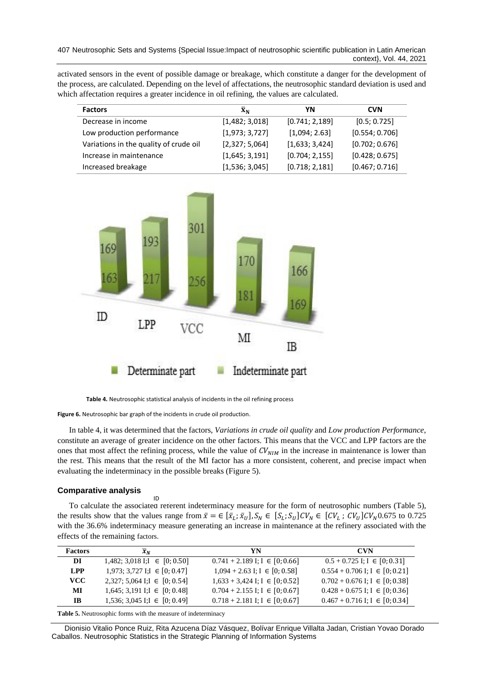activated sensors in the event of possible damage or breakage, which constitute a danger for the development of the process, are calculated. Depending on the level of affectations, the neutrosophic standard deviation is used and which affectation requires a greater incidence in oil refining, the values are calculated.

| <b>Factors</b>                         | $\bar{\mathbf{X}}_{N}$ | ΥN              | <b>CVN</b>     |
|----------------------------------------|------------------------|-----------------|----------------|
| Decrease in income                     | [1,482; 3,018]         | [0.741; 2,189]  | [0.5; 0.725]   |
| Low production performance             | [1,973; 3,727]         | [1,094; 2.63]   | [0.554; 0.706] |
| Variations in the quality of crude oil | [2,327; 5,064]         | [1,633; 3,424]  | [0.702; 0.676] |
| Increase in maintenance                | [1,645; 3,191]         | [0.704; 2, 155] | [0.428; 0.675] |
| Increased breakage                     | [1,536; 3,045]         | [0.718; 2,181]  | [0.467; 0.716] |



**Table 4.** Neutrosophic statistical analysis of incidents in the oil refining process

**Figure 6.** Neutrosophic bar graph of the incidents in crude oil production.

ID

In table 4, it was determined that the factors, *Variations in crude oil quality* and *Low production Performance*, constitute an average of greater incidence on the other factors. This means that the VCC and LPP factors are the ones that most affect the refining process, while the value of  $CV_{NIM}$  in the increase in maintenance is lower than the rest. This means that the result of the MI factor has a more consistent, coherent, and precise impact when evaluating the indeterminacy in the possible breaks (Figure 5).

### **Comparative analysis**

To calculate the associated referent indeterminacy measure for the form of neutrosophic numbers (Table 5), the results show that the values range from  $\bar{x} = \in [\bar{x}_L; \bar{x}_U], S_N \in [S_L; S_U]$   $CV_N \in [CV_L; CV_U]$   $CV_N$  0.675 to 0.725 with the 36.6% indeterminacy measure generating an increase in maintenance at the refinery associated with the effects of the remaining factors.

| <b>Factors</b> | $\overline{x}_N$                  | YN                                   | <b>CVN</b>                           |
|----------------|-----------------------------------|--------------------------------------|--------------------------------------|
| DI             | 1,482; 3,018 I; $\in$ [0; 0.50]   | $0.741 + 2.189$ I; I $\in [0, 0.66]$ | $0.5 + 0.725$ I; I $\in [0, 0.31]$   |
| <b>LPP</b>     | 1,973; 3,727 I; $[0; 0.47]$       | $1,094 + 2.63$ I; I $\in [0, 0.58]$  | $0.554 + 0.706$ I; I $\in [0, 0.21]$ |
| <b>VCC</b>     | 2,327; 5,064 I; $\in$ [0; 0.54]   | $1,633 + 3,424$ I; I $\in [0, 0.52]$ | $0.702 + 0.676$ I; I $\in [0, 0.38]$ |
| MI             | 1,645; 3,191 I; $I \in [0; 0.48]$ | $0.704 + 2.155$ I; I $\in [0, 0.67]$ | $0.428 + 0.675$ I; I $\in [0, 0.36]$ |
| IB             | 1,536; 3,045 I; $[0; 0.49]$       | $0.718 + 2.181$ I; I $\in [0, 0.67]$ | $0.467 + 0.716$ I; I $\in [0, 0.34]$ |

**Table 5.** Neutrosophic forms with the measure of indeterminacy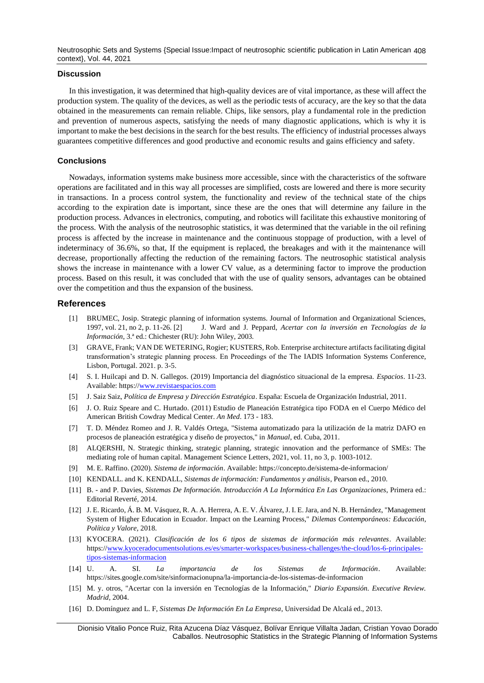Neutrosophic Sets and Systems {Special Issue:Impact of neutrosophic scientific publication in Latin American 408 context}, Vol. 44, 2021

## **Discussion**

In this investigation, it was determined that high-quality devices are of vital importance, as these will affect the production system. The quality of the devices, as well as the periodic tests of accuracy, are the key so that the data obtained in the measurements can remain reliable. Chips, like sensors, play a fundamental role in the prediction and prevention of numerous aspects, satisfying the needs of many diagnostic applications, which is why it is important to make the best decisions in the search for the best results. The efficiency of industrial processes always guarantees competitive differences and good productive and economic results and gains efficiency and safety.

## **Conclusions**

Nowadays, information systems make business more accessible, since with the characteristics of the software operations are facilitated and in this way all processes are simplified, costs are lowered and there is more security in transactions. In a process control system, the functionality and review of the technical state of the chips according to the expiration date is important, since these are the ones that will determine any failure in the production process. Advances in electronics, computing, and robotics will facilitate this exhaustive monitoring of the process. With the analysis of the neutrosophic statistics, it was determined that the variable in the oil refining process is affected by the increase in maintenance and the continuous stoppage of production, with a level of indeterminacy of 36.6%, so that, If the equipment is replaced, the breakages and with it the maintenance will decrease, proportionally affecting the reduction of the remaining factors. The neutrosophic statistical analysis shows the increase in maintenance with a lower CV value, as a determining factor to improve the production process. Based on this result, it was concluded that with the use of quality sensors, advantages can be obtained over the competition and thus the expansion of the business.

## **References**

- <span id="page-6-1"></span><span id="page-6-0"></span>[1] BRUMEC, Josip. Strategic planning of information systems. Journal of Information and Organizational Sciences, 1997, vol. 21, no 2, p. 11-26. [2] J. Ward and J. Peppard, *Acertar con la inversión en Tecnologías de la Información*, 3.ª ed.: Chichester (RU): John Wiley, 2003.
- <span id="page-6-2"></span>[3] GRAVE, Frank; VAN DE WETERING, Rogier; KUSTERS, Rob. Enterprise architecture artifacts facilitating digital transformation's strategic planning process. En Proceedings of the The IADIS Information Systems Conference, Lisbon, Portugal. 2021. p. 3-5.
- <span id="page-6-3"></span>[4] S. I. Huilcapi and D. N. Gallegos. (2019) Importancia del diagnóstico situacional de la empresa. *Espacios*. 11-23. Available: https:[//www.revistaespacios.com](http://www.revistaespacios.com/)
- [5] J. Saiz Saiz, *Política de Empresa y Dirección Estratégica*. España: Escuela de Organización Industrial, 2011.
- <span id="page-6-4"></span>[6] J. O. Ruiz Speare and C. Hurtado. (2011) Estudio de Planeación Estratégica tipo FODA en el Cuerpo Médico del American British Cowdray Medical Center. *An Med*. 173 - 183.
- <span id="page-6-5"></span>[7] T. D. Méndez Romeo and J. R. Valdés Ortega, "Sistema automatizado para la utilización de la matriz DAFO en procesos de planeación estratégica y diseño de proyectos," in *Manual*, ed. Cuba, 2011.
- [8] ALQERSHI, N. Strategic thinking, strategic planning, strategic innovation and the performance of SMEs: The mediating role of human capital. Management Science Letters, 2021, vol. 11, no 3, p. 1003-1012.
- <span id="page-6-6"></span>[9] M. E. Raffino. (2020). *Sistema de información*. Available: https://concepto.de/sistema-de-informacion/
- [10] KENDALL. and K. KENDALL, *Sistemas de información: Fundamentos y análisis*, Pearson ed., 2010.
- [11] B. and P. Davies, *Sistemas De Información. Introducción A La Informática En Las Organizaciones*, Primera ed.: Editorial Reverté, 2014.
- [12] J. E. Ricardo, Á. B. M. Vásquez, R. A. A. Herrera, A. E. V. Álvarez, J. I. E. Jara, and N. B. Hernández, "Management System of Higher Education in Ecuador. Impact on the Learning Process," *Dilemas Contemporáneos: Educación, Política y Valore,* 2018.
- <span id="page-6-7"></span>[13] KYOCERA. (2021). *Clasificación de los 6 tipos de sistemas de información más relevantes*. Available: https:/[/www.kyoceradocumentsolutions.es/es/smarter-workspaces/business-challenges/the-cloud/los-6-principales](http://www.kyoceradocumentsolutions.es/es/smarter-workspaces/business-challenges/the-cloud/los-6-principales-tipos-sistemas-informacion)[tipos-sistemas-informacion](http://www.kyoceradocumentsolutions.es/es/smarter-workspaces/business-challenges/the-cloud/los-6-principales-tipos-sistemas-informacion)
- <span id="page-6-8"></span>[14] U. A. SI. *La importancia de los Sistemas de Información*. Available: https://sites.google.com/site/sinformacionupna/la-importancia-de-los-sistemas-de-informacion
- <span id="page-6-9"></span>[15] M. y. otros, "Acertar con la inversión en Tecnologías de la Información," *Diario Expansión. Executive Review. Madrid,* 2004.
- <span id="page-6-10"></span>[16] D. Domínguez and L. F, *Sistemas De Información En La Empresa*, Universidad De Alcalá ed., 2013.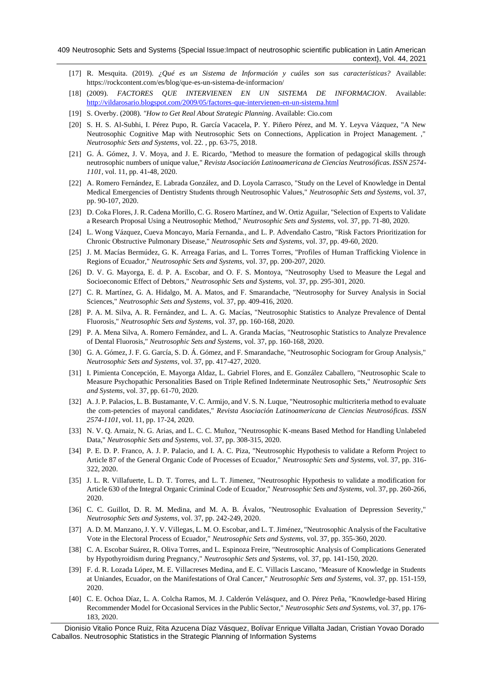- <span id="page-7-0"></span>[17] R. Mesquita. (2019). *¿Qué es un Sistema de Información y cuáles son sus características?* Available: https://rockcontent.com/es/blog/que-es-un-sistema-de-informacion/
- <span id="page-7-1"></span>[18] (2009). *FACTORES QUE INTERVIENEN EN UN SISTEMA DE INFORMACION*. Available: <http://vildarosario.blogspot.com/2009/05/factores-que-intervienen-en-un-sistema.html>
- <span id="page-7-2"></span>[19] S. Overby. (2008). *"How to Get Real About Strategic Planning*. Available: Cio.com
- <span id="page-7-3"></span>[20] S. H. S. Al-Subhi, I. Pérez Pupo, R. García Vacacela, P. Y. Piñero Pérez, and M. Y. Leyva Vázquez, "A New Neutrosophic Cognitive Map with Neutrosophic Sets on Connections, Application in Project Management. ," *Neutrosophic Sets and Systems,* vol. 22. , pp. 63-75, 2018.
- <span id="page-7-4"></span>[21] G. Á. Gómez, J. V. Moya, and J. E. Ricardo, "Method to measure the formation of pedagogical skills through neutrosophic numbers of unique value," *Revista Asociación Latinoamericana de Ciencias Neutrosóficas. ISSN 2574- 1101,* vol. 11, pp. 41-48, 2020.
- [22] A. Romero Fernández, E. Labrada González, and D. Loyola Carrasco, "Study on the Level of Knowledge in Dental Medical Emergencies of Dentistry Students through Neutrosophic Values," *Neutrosophic Sets and Systems,* vol. 37, pp. 90-107, 2020.
- [23] D. Coka Flores, J. R. Cadena Morillo, C. G. Rosero Martínez, and W. Ortiz Aguilar, "Selection of Experts to Validate a Research Proposal Using a Neutrosophic Method," *Neutrosophic Sets and Systems,* vol. 37, pp. 71-80, 2020.
- [24] L. Wong Vázquez, Cueva Moncayo, María Fernanda., and L. P. Advendaño Castro, "Risk Factors Prioritization for Chronic Obstructive Pulmonary Disease," *Neutrosophic Sets and Systems,* vol. 37, pp. 49-60, 2020.
- [25] J. M. Macías Bermúdez, G. K. Arreaga Farias, and L. Torres Torres, "Profiles of Human Trafficking Violence in Regions of Ecuador," *Neutrosophic Sets and Systems,* vol. 37, pp. 200-207, 2020.
- [26] D. V. G. Mayorga, E. d. P. A. Escobar, and O. F. S. Montoya, "Neutrosophy Used to Measure the Legal and Socioeconomic Effect of Debtors," *Neutrosophic Sets and Systems,* vol. 37, pp. 295-301, 2020.
- [27] C. R. Martínez, G. A. Hidalgo, M. A. Matos, and F. Smarandache, "Neutrosophy for Survey Analysis in Social Sciences," *Neutrosophic Sets and Systems,* vol. 37, pp. 409-416, 2020.
- [28] P. A. M. Silva, A. R. Fernández, and L. A. G. Macías, "Neutrosophic Statistics to Analyze Prevalence of Dental Fluorosis," *Neutrosophic Sets and Systems,* vol. 37, pp. 160-168, 2020.
- [29] P. A. Mena Silva, A. Romero Fernández, and L. A. Granda Macías, "Neutrosophic Statistics to Analyze Prevalence of Dental Fluorosis," *Neutrosophic Sets and Systems,* vol. 37, pp. 160-168, 2020.
- [30] G. A. Gómez, J. F. G. García, S. D. Á. Gómez, and F. Smarandache, "Neutrosophic Sociogram for Group Analysis," *Neutrosophic Sets and Systems,* vol. 37, pp. 417-427, 2020.
- [31] I. Pimienta Concepción, E. Mayorga Aldaz, L. Gabriel Flores, and E. González Caballero, "Neutrosophic Scale to Measure Psychopathic Personalities Based on Triple Refined Indeterminate Neutrosophic Sets," *Neutrosophic Sets and Systems,* vol. 37, pp. 61-70, 2020.
- [32] A. J. P. Palacios, L. B. Bustamante, V. C. Armijo, and V. S. N. Luque, "Neutrosophic multicriteria method to evaluate the com-petencies of mayoral candidates," *Revista Asociación Latinoamericana de Ciencias Neutrosóficas. ISSN 2574-1101,* vol. 11, pp. 17-24, 2020.
- [33] N. V. Q. Arnaiz, N. G. Arias, and L. C. C. Muñoz, "Neutrosophic K-means Based Method for Handling Unlabeled Data," *Neutrosophic Sets and Systems,* vol. 37, pp. 308-315, 2020.
- [34] P. E. D. P. Franco, A. J. P. Palacio, and I. A. C. Piza, "Neutrosophic Hypothesis to validate a Reform Project to Article 87 of the General Organic Code of Processes of Ecuador," *Neutrosophic Sets and Systems,* vol. 37, pp. 316- 322, 2020.
- [35] J. L. R. Villafuerte, L. D. T. Torres, and L. T. Jimenez, "Neutrosophic Hypothesis to validate a modification for Article 630 of the Integral Organic Criminal Code of Ecuador," *Neutrosophic Sets and Systems,* vol. 37, pp. 260-266, 2020.
- [36] C. C. Guillot, D. R. M. Medina, and M. A. B. Ávalos, "Neutrosophic Evaluation of Depression Severity," *Neutrosophic Sets and Systems,* vol. 37, pp. 242-249, 2020.
- [37] A. D. M. Manzano, J. Y. V. Villegas, L. M. O. Escobar, and L. T. Jiménez, "Neutrosophic Analysis of the Facultative Vote in the Electoral Process of Ecuador," *Neutrosophic Sets and Systems,* vol. 37, pp. 355-360, 2020.
- [38] C. A. Escobar Suárez, R. Oliva Torres, and L. Espinoza Freire, "Neutrosophic Analysis of Complications Generated by Hypothyroidism during Pregnancy," *Neutrosophic Sets and Systems,* vol. 37, pp. 141-150, 2020.
- [39] F. d. R. Lozada López, M. E. Villacreses Medina, and E. C. Villacis Lascano, "Measure of Knowledge in Students at Uniandes, Ecuador, on the Manifestations of Oral Cancer," *Neutrosophic Sets and Systems,* vol. 37, pp. 151-159, 2020.
- [40] C. E. Ochoa Díaz, L. A. Colcha Ramos, M. J. Calderón Velásquez, and O. Pérez Peña, "Knowledge-based Hiring Recommender Model for Occasional Services in the Public Sector," *Neutrosophic Sets and Systems,* vol. 37, pp. 176- 183, 2020.

Dionisio Vitalio Ponce Ruiz, Rita Azucena Díaz Vásquez, Bolívar Enrique Villalta Jadan, Cristian Yovao Dorado Caballos. Neutrosophic Statistics in the Strategic Planning of Information Systems